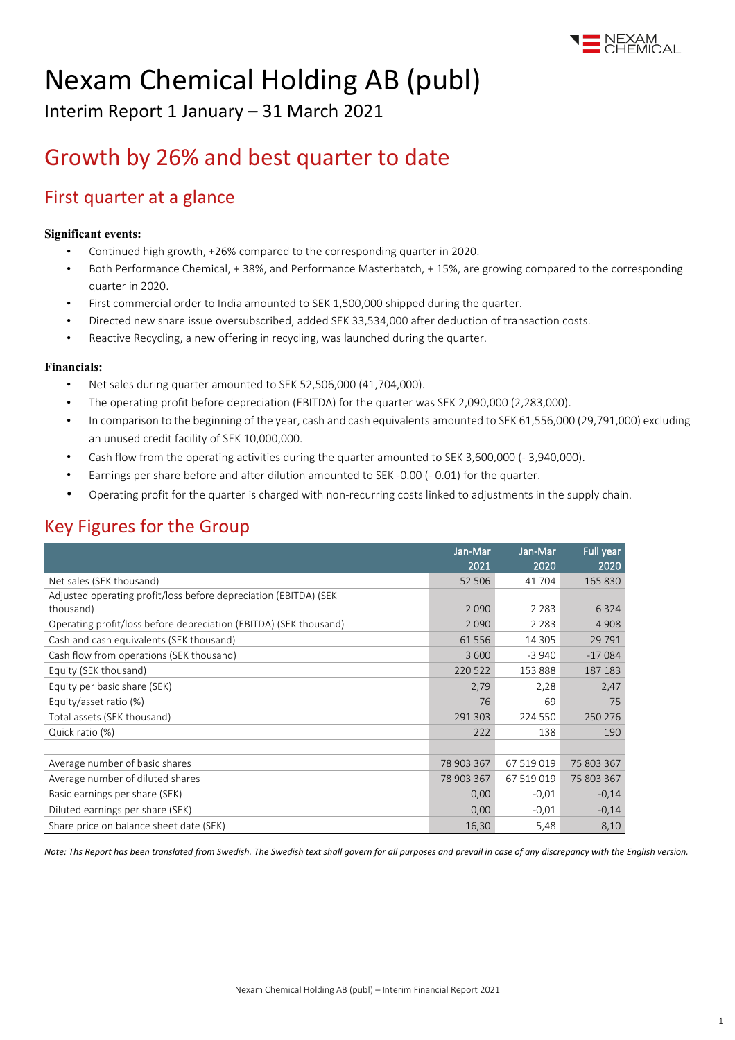

# Nexam Chemical Holding AB (publ)

Interim Report 1 January – 31 March 2021

## Growth by 26% and best quarter to date

### First quarter at a glance

#### **Significant events:**

- Continued high growth, +26% compared to the corresponding quarter in 2020.
- Both Performance Chemical, + 38%, and Performance Masterbatch, + 15%, are growing compared to the corresponding quarter in 2020.
- First commercial order to India amounted to SEK 1,500,000 shipped during the quarter.
- Directed new share issue oversubscribed, added SEK 33,534,000 after deduction of transaction costs.
- Reactive Recycling, a new offering in recycling, was launched during the quarter.

#### **Financials:**

- Net sales during quarter amounted to SEK 52,506,000 (41,704,000).
- The operating profit before depreciation (EBITDA) for the quarter was SEK 2,090,000 (2,283,000).
- In comparison to the beginning of the year, cash and cash equivalents amounted to SEK 61,556,000 (29,791,000) excluding an unused credit facility of SEK 10,000,000.
- Cash flow from the operating activities during the quarter amounted to SEK 3,600,000 (- 3,940,000).
- Earnings per share before and after dilution amounted to SEK -0.00 (- 0.01) for the quarter.
- Operating profit for the quarter is charged with non-recurring costs linked to adjustments in the supply chain.

### Key Figures for the Group

|                                                                   | Jan-Mar<br>2021 | Jan-Mar<br>2020 | Full year       |
|-------------------------------------------------------------------|-----------------|-----------------|-----------------|
| Net sales (SEK thousand)                                          | 52 506          | 41 704          | 2020<br>165 830 |
| Adjusted operating profit/loss before depreciation (EBITDA) (SEK) |                 |                 |                 |
| thousand)                                                         | 2090            | 2 2 8 3         | 6 3 2 4         |
| Operating profit/loss before depreciation (EBITDA) (SEK thousand) | 2 0 9 0         | 2 2 8 3         | 4 9 0 8         |
| Cash and cash equivalents (SEK thousand)                          | 61 556          | 14 3 0 5        | 29 791          |
| Cash flow from operations (SEK thousand)                          | 3 600           | $-3940$         | $-17084$        |
| Equity (SEK thousand)                                             | 220 522         | 153 888         | 187 183         |
| Equity per basic share (SEK)                                      | 2,79            | 2,28            | 2,47            |
| Equity/asset ratio (%)                                            | 76              | 69              | 75              |
| Total assets (SEK thousand)                                       | 291 303         | 224 550         | 250 276         |
| Quick ratio (%)                                                   | 222             | 138             | 190             |
|                                                                   |                 |                 |                 |
| Average number of basic shares                                    | 78 903 367      | 67 519 019      | 75 803 367      |
| Average number of diluted shares                                  | 78 903 367      | 67 519 019      | 75 803 367      |
| Basic earnings per share (SEK)                                    | 0,00            | $-0.01$         | $-0,14$         |
| Diluted earnings per share (SEK)                                  | 0,00            | $-0,01$         | $-0,14$         |
| Share price on balance sheet date (SEK)                           | 16,30           | 5,48            | 8,10            |

*Note: Ths Report has been translated from Swedish. The Swedish text shall govern for all purposes and prevail in case of any discrepancy with the English version.*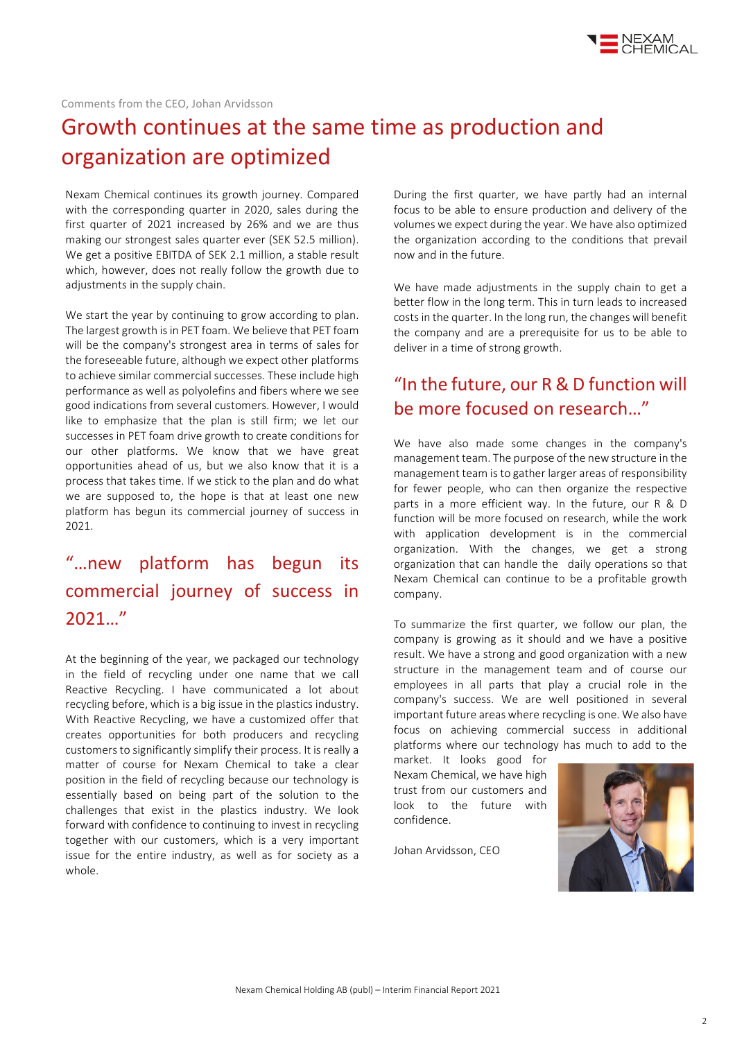

#### Comments from the CEO, Johan Arvidsson

## Growth continues at the same time as production and organization are optimized

Nexam Chemical continues its growth journey. Compared with the corresponding quarter in 2020, sales during the first quarter of 2021 increased by 26% and we are thus making our strongest sales quarter ever (SEK 52.5 million). We get a positive EBITDA of SEK 2.1 million, a stable result which, however, does not really follow the growth due to adjustments in the supply chain.

We start the year by continuing to grow according to plan. The largest growth is in PET foam. We believe that PET foam will be the company's strongest area in terms of sales for the foreseeable future, although we expect other platforms to achieve similar commercial successes. These include high performance as well as polyolefins and fibers where we see good indications from several customers. However, I would like to emphasize that the plan is still firm; we let our successes in PET foam drive growth to create conditions for our other platforms. We know that we have great opportunities ahead of us, but we also know that it is a process that takes time. If we stick to the plan and do what we are supposed to, the hope is that at least one new platform has begun its commercial journey of success in 2021.

### "…new platform has begun its commercial journey of success in 2021…"

At the beginning of the year, we packaged our technology in the field of recycling under one name that we call Reactive Recycling. I have communicated a lot about recycling before, which is a big issue in the plastics industry. With Reactive Recycling, we have a customized offer that creates opportunities for both producers and recycling customers to significantly simplify their process. It is really a matter of course for Nexam Chemical to take a clear position in the field of recycling because our technology is essentially based on being part of the solution to the challenges that exist in the plastics industry. We look forward with confidence to continuing to invest in recycling together with our customers, which is a very important issue for the entire industry, as well as for society as a whole.

During the first quarter, we have partly had an internal focus to be able to ensure production and delivery of the volumes we expect during the year. We have also optimized the organization according to the conditions that prevail now and in the future.

We have made adjustments in the supply chain to get a better flow in the long term. This in turn leads to increased costs in the quarter. In the long run, the changes will benefit the company and are a prerequisite for us to be able to deliver in a time of strong growth.

### "In the future, our R & D function will be more focused on research…"

We have also made some changes in the company's management team. The purpose of the new structure in the management team is to gather larger areas of responsibility for fewer people, who can then organize the respective parts in a more efficient way. In the future, our R & D function will be more focused on research, while the work with application development is in the commercial organization. With the changes, we get a strong organization that can handle the daily operations so that Nexam Chemical can continue to be a profitable growth company.

To summarize the first quarter, we follow our plan, the company is growing as it should and we have a positive result. We have a strong and good organization with a new structure in the management team and of course our employees in all parts that play a crucial role in the company's success. We are well positioned in several important future areas where recycling is one. We also have focus on achieving commercial success in additional platforms where our technology has much to add to the

market. It looks good for Nexam Chemical, we have high trust from our customers and look to the future with confidence.

Johan Arvidsson, CEO

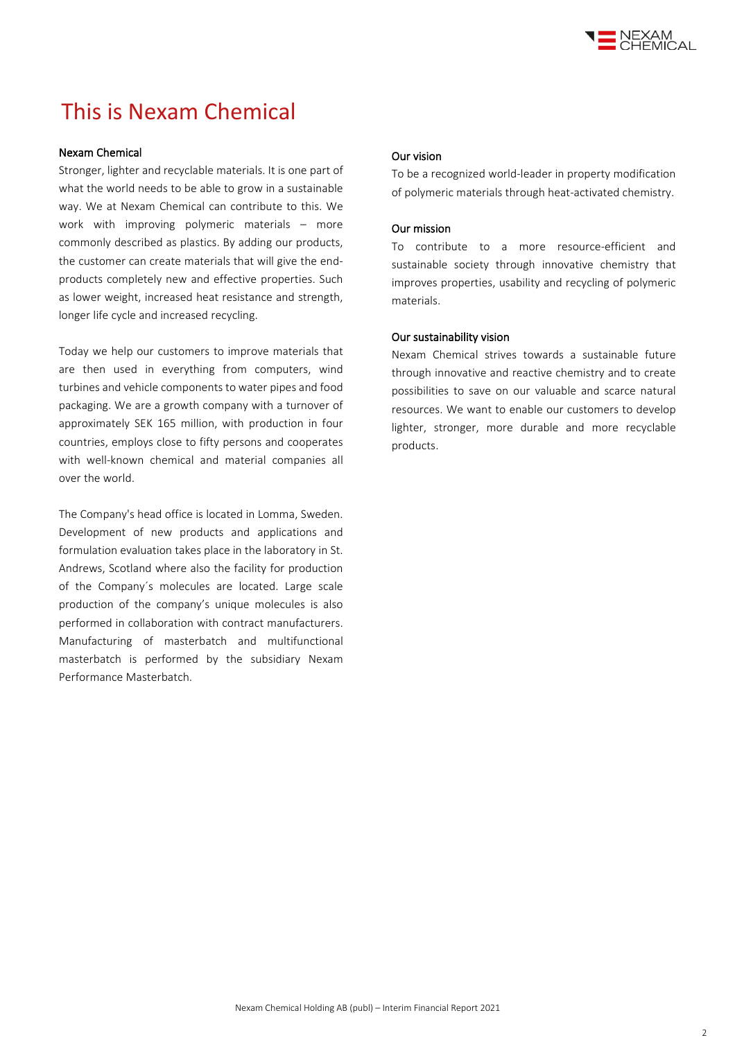

### This is Nexam Chemical

#### Nexam Chemical

Stronger, lighter and recyclable materials. It is one part of what the world needs to be able to grow in a sustainable way. We at Nexam Chemical can contribute to this. We work with improving polymeric materials – more commonly described as plastics. By adding our products, the customer can create materials that will give the endproducts completely new and effective properties. Such as lower weight, increased heat resistance and strength, longer life cycle and increased recycling.

Today we help our customers to improve materials that are then used in everything from computers, wind turbines and vehicle components to water pipes and food packaging. We are a growth company with a turnover of approximately SEK 165 million, with production in four countries, employs close to fifty persons and cooperates with well-known chemical and material companies all over the world.

The Company's head office is located in Lomma, Sweden. Development of new products and applications and formulation evaluation takes place in the laboratory in St. Andrews, Scotland where also the facility for production of the Company´s molecules are located. Large scale production of the company's unique molecules is also performed in collaboration with contract manufacturers. Manufacturing of masterbatch and multifunctional masterbatch is performed by the subsidiary Nexam Performance Masterbatch.

#### Our vision

To be a recognized world-leader in property modification of polymeric materials through heat-activated chemistry.

#### Our mission

To contribute to a more resource-efficient and sustainable society through innovative chemistry that improves properties, usability and recycling of polymeric materials.

#### Our sustainability vision

Nexam Chemical strives towards a sustainable future through innovative and reactive chemistry and to create possibilities to save on our valuable and scarce natural resources. We want to enable our customers to develop lighter, stronger, more durable and more recyclable products.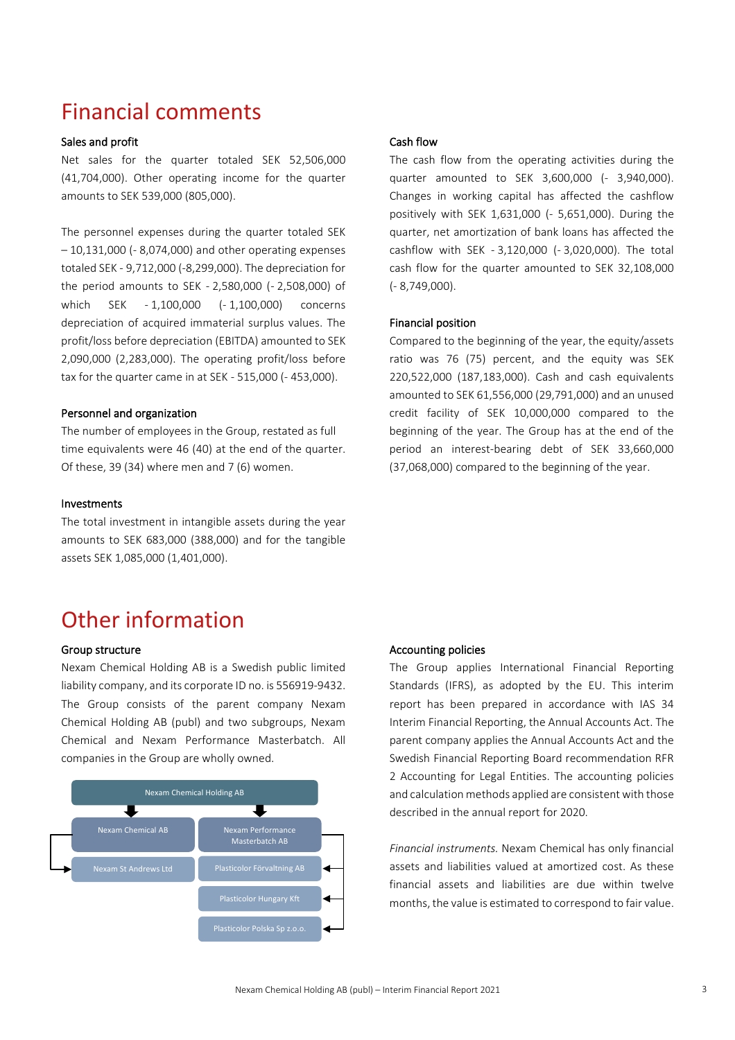### Financial comments

#### Sales and profit

Net sales for the quarter totaled SEK 52,506,000 (41,704,000). Other operating income for the quarter amounts to SEK 539,000 (805,000).

The personnel expenses during the quarter totaled SEK – 10,131,000 (- 8,074,000) and other operating expenses totaled SEK - 9,712,000 (-8,299,000). The depreciation for the period amounts to SEK - 2,580,000 (- 2,508,000) of which SEK - 1,100,000 (- 1,100,000) concerns depreciation of acquired immaterial surplus values. The profit/loss before depreciation (EBITDA) amounted to SEK 2,090,000 (2,283,000). The operating profit/loss before tax for the quarter came in at SEK - 515,000 (- 453,000).

#### Personnel and organization

The number of employees in the Group, restated as full time equivalents were 46 (40) at the end of the quarter. Of these, 39 (34) where men and 7 (6) women.

#### Investments

The total investment in intangible assets during the year amounts to SEK 683,000 (388,000) and for the tangible assets SEK 1,085,000 (1,401,000).

### Other information

#### Group structure

Nexam Chemical Holding AB is a Swedish public limited liability company, and its corporate ID no. is 556919-9432. The Group consists of the parent company Nexam Chemical Holding AB (publ) and two subgroups, Nexam Chemical and Nexam Performance Masterbatch. All companies in the Group are wholly owned.



#### Cash flow

The cash flow from the operating activities during the quarter amounted to SEK 3,600,000 (- 3,940,000). Changes in working capital has affected the cashflow positively with SEK 1,631,000 (- 5,651,000). During the quarter, net amortization of bank loans has affected the cashflow with SEK - 3,120,000 (- 3,020,000). The total cash flow for the quarter amounted to SEK 32,108,000 (- 8,749,000).

#### Financial position

Compared to the beginning of the year, the equity/assets ratio was 76 (75) percent, and the equity was SEK 220,522,000 (187,183,000). Cash and cash equivalents amounted to SEK 61,556,000 (29,791,000) and an unused credit facility of SEK 10,000,000 compared to the beginning of the year. The Group has at the end of the period an interest-bearing debt of SEK 33,660,000 (37,068,000) compared to the beginning of the year.

#### Accounting policies

The Group applies International Financial Reporting Standards (IFRS), as adopted by the EU. This interim report has been prepared in accordance with IAS 34 Interim Financial Reporting, the Annual Accounts Act. The parent company applies the Annual Accounts Act and the Swedish Financial Reporting Board recommendation RFR 2 Accounting for Legal Entities. The accounting policies and calculation methods applied are consistent with those described in the annual report for 2020.

*Financial instruments.* Nexam Chemical has only financial assets and liabilities valued at amortized cost. As these financial assets and liabilities are due within twelve months, the value is estimated to correspond to fair value.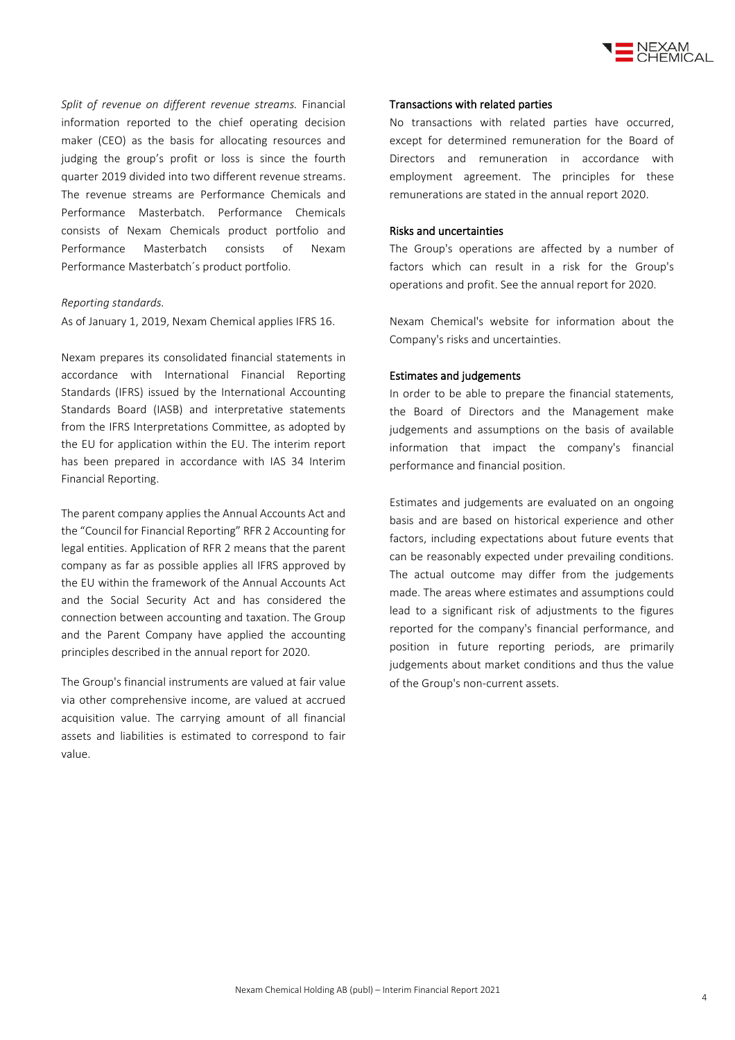

*Split of revenue on different revenue streams.* Financial information reported to the chief operating decision maker (CEO) as the basis for allocating resources and judging the group's profit or loss is since the fourth quarter 2019 divided into two different revenue streams. The revenue streams are Performance Chemicals and Performance Masterbatch. Performance Chemicals consists of Nexam Chemicals product portfolio and Performance Masterbatch consists of Nexam Performance Masterbatch´s product portfolio.

#### *Reporting standards.*

As of January 1, 2019, Nexam Chemical applies IFRS 16.

Nexam prepares its consolidated financial statements in accordance with International Financial Reporting Standards (IFRS) issued by the International Accounting Standards Board (IASB) and interpretative statements from the IFRS Interpretations Committee, as adopted by the EU for application within the EU. The interim report has been prepared in accordance with IAS 34 Interim Financial Reporting.

The parent company applies the Annual Accounts Act and the "Council for Financial Reporting" RFR 2 Accounting for legal entities. Application of RFR 2 means that the parent company as far as possible applies all IFRS approved by the EU within the framework of the Annual Accounts Act and the Social Security Act and has considered the connection between accounting and taxation. The Group and the Parent Company have applied the accounting principles described in the annual report for 2020.

The Group's financial instruments are valued at fair value via other comprehensive income, are valued at accrued acquisition value. The carrying amount of all financial assets and liabilities is estimated to correspond to fair value.

#### Transactions with related parties

No transactions with related parties have occurred, except for determined remuneration for the Board of Directors and remuneration in accordance with employment agreement. The principles for these remunerations are stated in the annual report 2020.

#### Risks and uncertainties

The Group's operations are affected by a number of factors which can result in a risk for the Group's operations and profit. See the annual report for 2020.

Nexam Chemical's website for information about the Company's risks and uncertainties.

#### Estimates and judgements

In order to be able to prepare the financial statements, the Board of Directors and the Management make judgements and assumptions on the basis of available information that impact the company's financial performance and financial position.

Estimates and judgements are evaluated on an ongoing basis and are based on historical experience and other factors, including expectations about future events that can be reasonably expected under prevailing conditions. The actual outcome may differ from the judgements made. The areas where estimates and assumptions could lead to a significant risk of adjustments to the figures reported for the company's financial performance, and position in future reporting periods, are primarily judgements about market conditions and thus the value of the Group's non-current assets.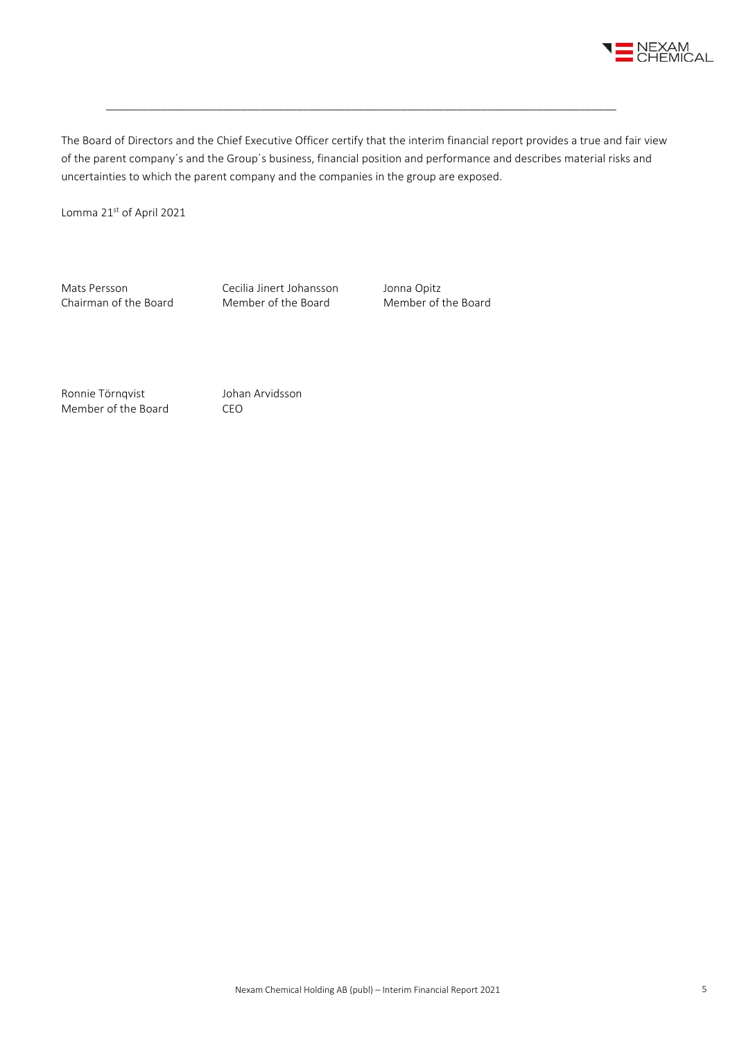

The Board of Directors and the Chief Executive Officer certify that the interim financial report provides a true and fair view of the parent company´s and the Group´s business, financial position and performance and describes material risks and uncertainties to which the parent company and the companies in the group are exposed.

\_\_\_\_\_\_\_\_\_\_\_\_\_\_\_\_\_\_\_\_\_\_\_\_\_\_\_\_\_\_\_\_\_\_\_\_\_\_\_\_\_\_\_\_\_\_\_\_\_\_\_\_\_\_\_\_\_\_\_\_\_\_\_\_\_\_\_\_\_\_\_\_\_\_\_\_\_\_\_\_\_\_\_

Lomma 21st of April 2021

Mats Persson Cecilia Jinert Johansson Jonna Opitz<br>
Chairman of the Board Member of the Board Member of the Board Chairman of the Board

Ronnie Törnqvist Johan Arvidsson Member of the Board CEO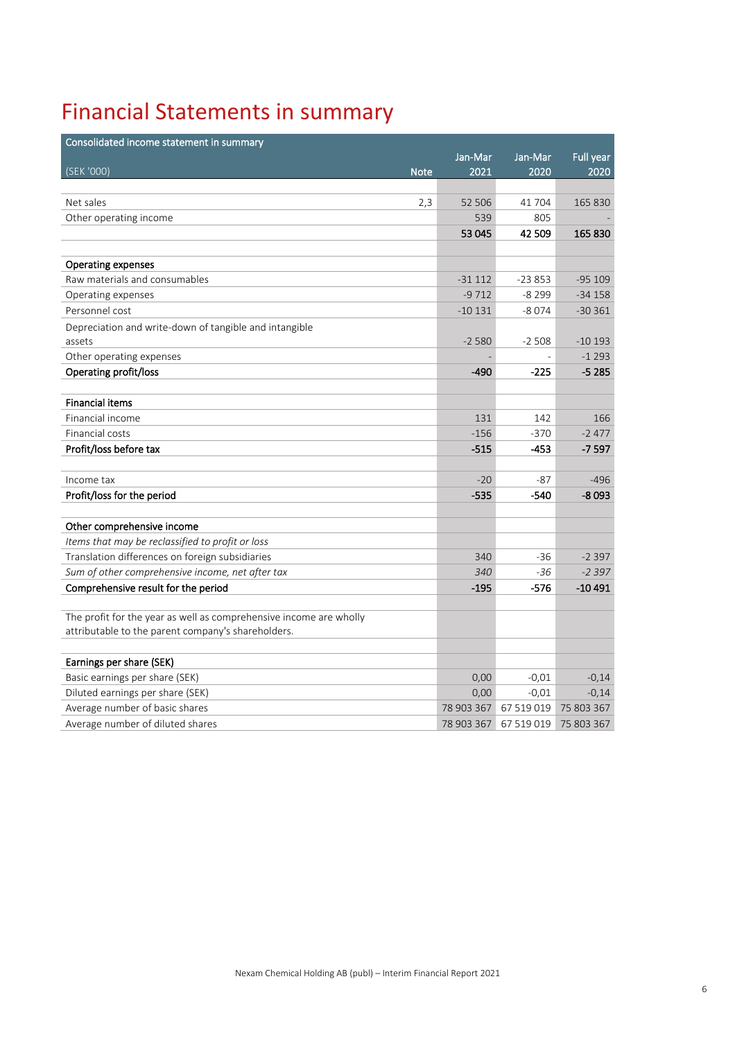## Financial Statements in summary

| Consolidated income statement in summary                           |            |            |            |
|--------------------------------------------------------------------|------------|------------|------------|
|                                                                    | Jan-Mar    | Jan-Mar    | Full year  |
| (SEK '000)<br><b>Note</b>                                          | 2021       | 2020       | 2020       |
|                                                                    |            |            |            |
| Net sales<br>2,3                                                   | 52 506     | 41704      | 165 830    |
| Other operating income                                             | 539        | 805        |            |
|                                                                    | 53 045     | 42 509     | 165 830    |
|                                                                    |            |            |            |
| <b>Operating expenses</b>                                          |            |            |            |
| Raw materials and consumables                                      | $-31112$   | $-23853$   | $-95109$   |
| Operating expenses                                                 | $-9712$    | $-8299$    | $-34158$   |
| Personnel cost                                                     | $-10131$   | $-8074$    | $-30361$   |
| Depreciation and write-down of tangible and intangible             |            |            |            |
| assets                                                             | $-2580$    | $-2508$    | $-10193$   |
| Other operating expenses                                           |            |            | $-1293$    |
| Operating profit/loss                                              | $-490$     | $-225$     | $-5285$    |
|                                                                    |            |            |            |
| <b>Financial items</b>                                             |            |            |            |
| Financial income                                                   | 131        | 142        | 166        |
| Financial costs                                                    | $-156$     | $-370$     | $-2477$    |
| Profit/loss before tax                                             | $-515$     | $-453$     | $-7597$    |
|                                                                    |            |            |            |
| Income tax                                                         | $-20$      | -87        | $-496$     |
| Profit/loss for the period                                         | $-535$     | $-540$     | $-8093$    |
|                                                                    |            |            |            |
| Other comprehensive income                                         |            |            |            |
| Items that may be reclassified to profit or loss                   |            |            |            |
| Translation differences on foreign subsidiaries                    | 340        | $-36$      | $-2397$    |
| Sum of other comprehensive income, net after tax                   | 340        | $-36$      | $-2397$    |
| Comprehensive result for the period                                | $-195$     | -576       | $-10491$   |
|                                                                    |            |            |            |
| The profit for the year as well as comprehensive income are wholly |            |            |            |
| attributable to the parent company's shareholders.                 |            |            |            |
|                                                                    |            |            |            |
| Earnings per share (SEK)                                           |            |            |            |
| Basic earnings per share (SEK)                                     | 0,00       | $-0,01$    | $-0,14$    |
| Diluted earnings per share (SEK)                                   | 0,00       | $-0.01$    | $-0,14$    |
| Average number of basic shares                                     | 78 903 367 | 67 519 019 | 75 803 367 |
| Average number of diluted shares                                   | 78 903 367 | 67 519 019 | 75 803 367 |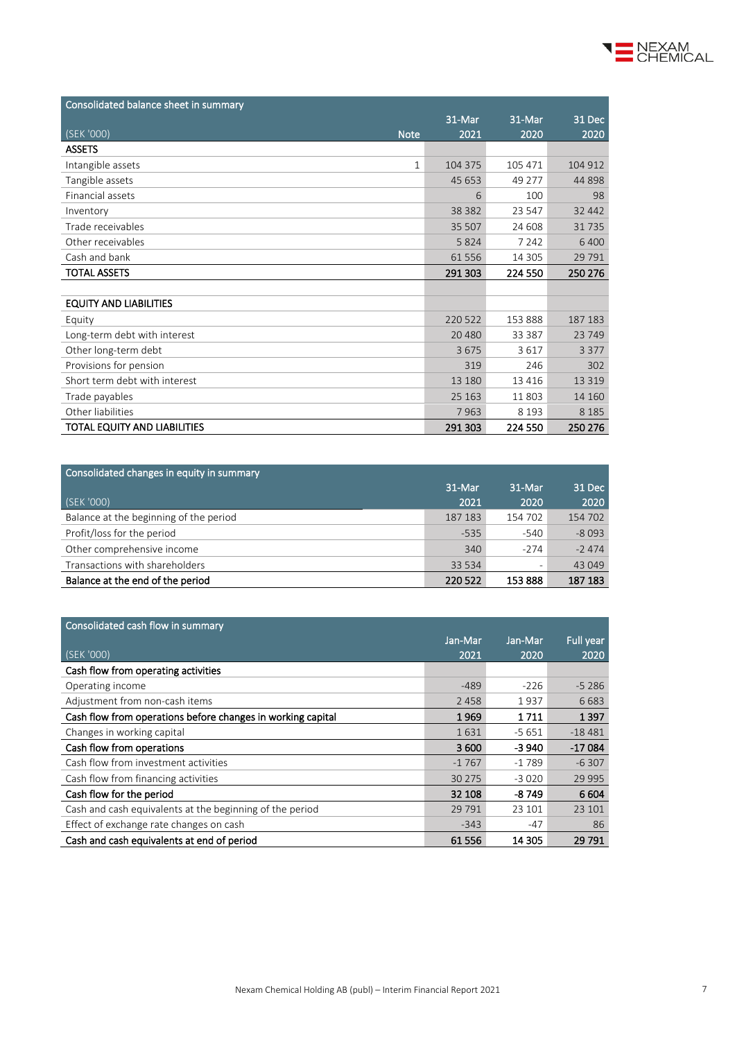| Consolidated balance sheet in summary |          |         |          |
|---------------------------------------|----------|---------|----------|
|                                       | 31-Mar   | 31-Mar  | 31 Dec   |
| (SEK'000)<br><b>Note</b>              | 2021     | 2020    | 2020     |
| <b>ASSETS</b>                         |          |         |          |
| Intangible assets<br>1                | 104 375  | 105 471 | 104 912  |
| Tangible assets                       | 45 653   | 49 277  | 44 898   |
| Financial assets                      | 6        | 100     | 98       |
| Inventory                             | 38 3 8 2 | 23 547  | 32 4 42  |
| Trade receivables                     | 35 507   | 24 608  | 31735    |
| Other receivables                     | 5824     | 7 2 4 2 | 6 4 0 0  |
| Cash and bank                         | 61 556   | 14 3 05 | 29 7 9 1 |
| <b>TOTAL ASSETS</b>                   | 291 303  | 224 550 | 250 276  |
|                                       |          |         |          |
| <b>EQUITY AND LIABILITIES</b>         |          |         |          |
| Equity                                | 220 522  | 153 888 | 187 183  |
| Long-term debt with interest          | 20 4 80  | 33 387  | 23 749   |
| Other long-term debt                  | 3675     | 3617    | 3 3 7 7  |
| Provisions for pension                | 319      | 246     | 302      |
| Short term debt with interest         | 13 180   | 13 4 16 | 13 3 19  |
| Trade payables                        | 25 163   | 11803   | 14 160   |
| Other liabilities                     | 7963     | 8 1 9 3 | 8 1 8 5  |
| TOTAL EQUITY AND LIABILITIES          | 291 303  | 224 550 | 250 276  |

| Consolidated changes in equity in summary |         |         |         |  |  |  |  |
|-------------------------------------------|---------|---------|---------|--|--|--|--|
|                                           | 31-Mar  | 31-Mar  | 31 Dec  |  |  |  |  |
| (SEK '000)                                | 2021    | 2020    | 2020    |  |  |  |  |
| Balance at the beginning of the period    | 187 183 | 154 702 | 154 702 |  |  |  |  |
| Profit/loss for the period                | $-535$  | $-540$  | $-8093$ |  |  |  |  |
| Other comprehensive income                | 340     | $-274$  | $-2474$ |  |  |  |  |
| Transactions with shareholders            | 33 5 34 | -       | 43 049  |  |  |  |  |
| Balance at the end of the period          | 220 522 | 153 888 | 187 183 |  |  |  |  |

| Consolidated cash flow in summary                           |         |         |           |
|-------------------------------------------------------------|---------|---------|-----------|
|                                                             | Jan-Mar | Jan-Mar | Full year |
| (SEK '000)                                                  | 2021    | 2020    | 2020      |
| Cash flow from operating activities                         |         |         |           |
| Operating income                                            | $-489$  | $-226$  | $-5286$   |
| Adjustment from non-cash items                              | 2 4 5 8 | 1937    | 6683      |
| Cash flow from operations before changes in working capital | 1969    | 1711    | 1397      |
| Changes in working capital                                  | 1631    | $-5651$ | $-18481$  |
| Cash flow from operations                                   | 3600    | -3 940  | $-17084$  |
| Cash flow from investment activities                        | $-1767$ | $-1789$ | $-6307$   |
| Cash flow from financing activities                         | 30 275  | $-3020$ | 29 995    |
| Cash flow for the period                                    | 32 108  | $-8749$ | 6 6 0 4   |
| Cash and cash equivalents at the beginning of the period    | 29 7 91 | 23 101  | 23 101    |
| Effect of exchange rate changes on cash                     | $-343$  | $-47$   | 86        |
| Cash and cash equivalents at end of period                  | 61 556  | 14 305  | 29 791    |

NEXAM<br>CHEMICAL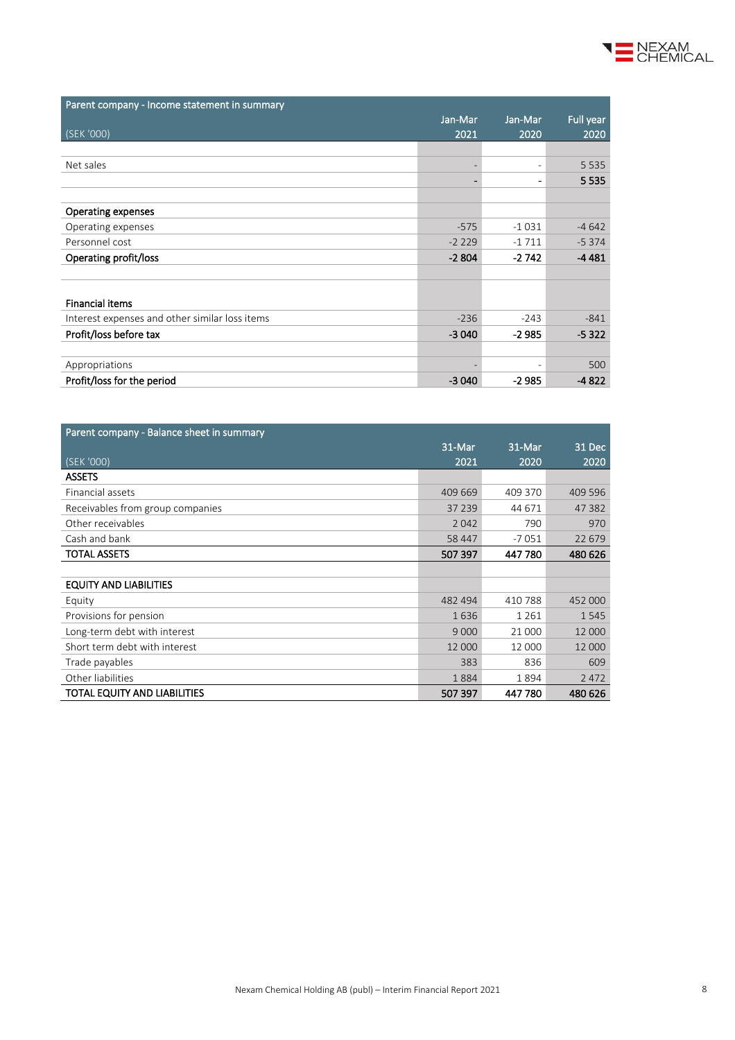| Parent company - Income statement in summary   |                          |                          |           |
|------------------------------------------------|--------------------------|--------------------------|-----------|
|                                                | Jan-Mar                  | Jan-Mar                  | Full year |
| (SEK '000)                                     | 2021                     | 2020                     | 2020      |
|                                                |                          |                          |           |
| Net sales                                      | $\overline{\phantom{a}}$ | $\overline{\phantom{0}}$ | 5 5 3 5   |
|                                                | $\overline{\phantom{0}}$ |                          | 5 5 3 5   |
|                                                |                          |                          |           |
| <b>Operating expenses</b>                      |                          |                          |           |
| Operating expenses                             | $-575$                   | $-1031$                  | $-4642$   |
| Personnel cost                                 | $-2229$                  | $-1711$                  | $-5374$   |
| Operating profit/loss                          | $-2804$                  | $-2742$                  | $-4481$   |
|                                                |                          |                          |           |
|                                                |                          |                          |           |
| <b>Financial items</b>                         |                          |                          |           |
| Interest expenses and other similar loss items | $-236$                   | $-243$                   | $-841$    |
| Profit/loss before tax                         | $-3040$                  | $-2985$                  | $-5322$   |
|                                                |                          |                          |           |
| Appropriations                                 |                          |                          | 500       |
| Profit/loss for the period                     | $-3040$                  | -2 985                   | $-4822$   |

| Parent company - Balance sheet in summary |         |         |         |  |  |
|-------------------------------------------|---------|---------|---------|--|--|
|                                           | 31-Mar  | 31-Mar  | 31 Dec  |  |  |
| (SEK '000)                                | 2021    | 2020    | 2020    |  |  |
| <b>ASSETS</b>                             |         |         |         |  |  |
| Financial assets                          | 409 669 | 409 370 | 409 596 |  |  |
| Receivables from group companies          | 37 239  | 44 671  | 47 382  |  |  |
| Other receivables                         | 2042    | 790     | 970     |  |  |
| Cash and bank                             | 58 447  | $-7051$ | 22 679  |  |  |
| <b>TOTAL ASSETS</b>                       | 507 397 | 447 780 | 480 626 |  |  |
|                                           |         |         |         |  |  |
| <b>EQUITY AND LIABILITIES</b>             |         |         |         |  |  |
| Equity                                    | 482 494 | 410788  | 452 000 |  |  |
| Provisions for pension                    | 1636    | 1 2 6 1 | 1545    |  |  |
| Long-term debt with interest              | 9 0 0 0 | 21 000  | 12 000  |  |  |
| Short term debt with interest             | 12 000  | 12 000  | 12 000  |  |  |
| Trade payables                            | 383     | 836     | 609     |  |  |
| Other liabilities                         | 1884    | 1894    | 2472    |  |  |
| <b>TOTAL EQUITY AND LIABILITIES</b>       | 507397  | 447780  | 480 626 |  |  |

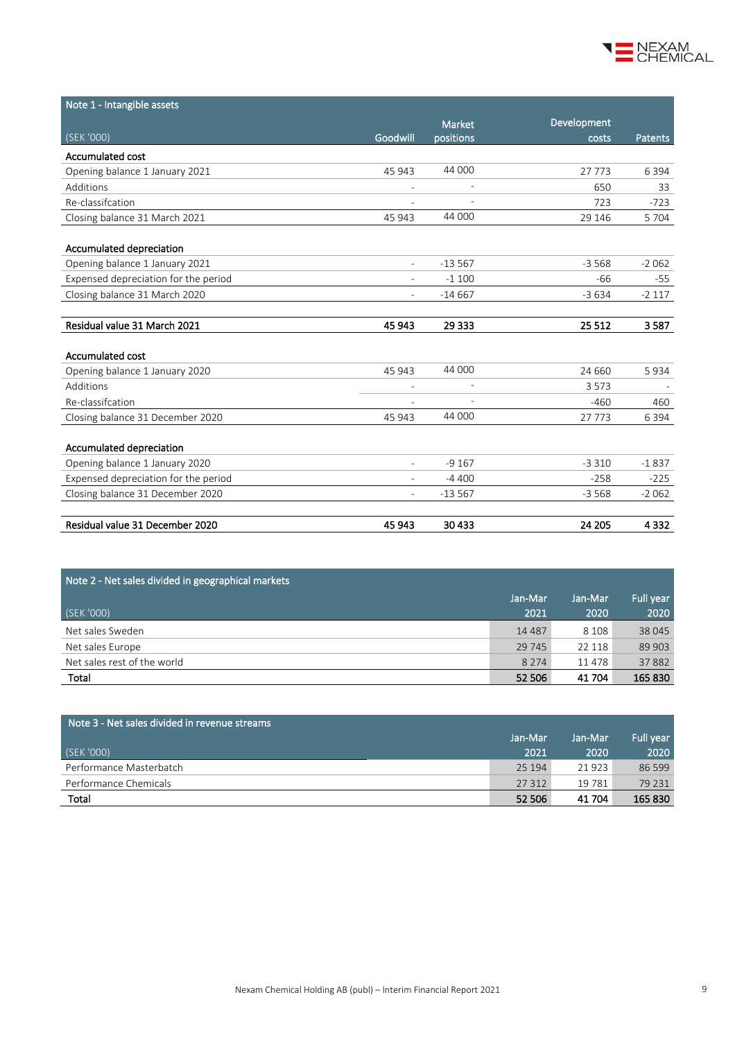

| Note 1 - Intangible assets           |                          |                          |             |                |
|--------------------------------------|--------------------------|--------------------------|-------------|----------------|
|                                      |                          | <b>Market</b>            | Development |                |
| (SEK '000)                           | Goodwill                 | positions                | costs       | <b>Patents</b> |
| Accumulated cost                     |                          |                          |             |                |
| Opening balance 1 January 2021       | 45 943                   | 44 000                   | 27773       | 6 3 9 4        |
| Additions                            | $\overline{\phantom{a}}$ | $\overline{\phantom{0}}$ | 650         | 33             |
| Re-classifcation                     |                          |                          | 723         | $-723$         |
| Closing balance 31 March 2021        | 45 943                   | 44 000                   | 29 14 6     | 5 7 0 4        |
|                                      |                          |                          |             |                |
| Accumulated depreciation             |                          |                          |             |                |
| Opening balance 1 January 2021       | $\overline{\phantom{a}}$ | $-13567$                 | $-3568$     | $-2062$        |
| Expensed depreciation for the period | $\overline{a}$           | $-1100$                  | -66         | -55            |
| Closing balance 31 March 2020        | $\overline{a}$           | $-14667$                 | $-3634$     | $-2117$        |
|                                      |                          |                          |             |                |
| Residual value 31 March 2021         | 45 943                   | 29 3 33                  | 25 5 12     | 3587           |
|                                      |                          |                          |             |                |
| Accumulated cost                     |                          |                          |             |                |
| Opening balance 1 January 2020       | 45 943                   | 44 000                   | 24 660      | 5934           |
| Additions                            |                          |                          | 3573        |                |
| Re-classifcation                     | $\overline{\phantom{a}}$ |                          | $-460$      | 460            |
| Closing balance 31 December 2020     | 45 943                   | 44 000                   | 27 7 7 3    | 6 3 9 4        |
|                                      |                          |                          |             |                |
| Accumulated depreciation             |                          |                          |             |                |
| Opening balance 1 January 2020       |                          | $-9167$                  | $-3310$     | $-1837$        |
| Expensed depreciation for the period |                          | $-4400$                  | $-258$      | $-225$         |
| Closing balance 31 December 2020     | $\overline{a}$           | $-13567$                 | $-3568$     | $-2062$        |
|                                      |                          |                          |             |                |
| Residual value 31 December 2020      | 45 943                   | 30 4 33                  | 24 205      | 4332           |

| Note 2 - Net sales divided in geographical markets |          |         |           |  |  |  |
|----------------------------------------------------|----------|---------|-----------|--|--|--|
|                                                    | Jan-Mar  | Jan-Mar | Full year |  |  |  |
| (SEK '000)                                         | 2021     | 2020    | 2020      |  |  |  |
| Net sales Sweden                                   | 14 4 8 7 | 8 1 0 8 | 38 045    |  |  |  |
| Net sales Europe                                   | 29 745   | 22 118  | 89 903    |  |  |  |
| Net sales rest of the world                        | 8 2 7 4  | 11 478  | 37882     |  |  |  |
| Total                                              | 52 506   | 41 704  | 165 830   |  |  |  |

| Note 3 - Net sales divided in revenue streams |         |         |           |
|-----------------------------------------------|---------|---------|-----------|
|                                               | Jan-Mar | Jan-Mar | Full year |
| (SEK '000)                                    | 2021    | 2020    | 2020      |
| Performance Masterbatch                       | 25 194  | 21 923  | 86 599    |
| Performance Chemicals                         | 27 3 12 | 19 781  | 79 231    |
| Total                                         | 52 506  | 41 704  | 165 830   |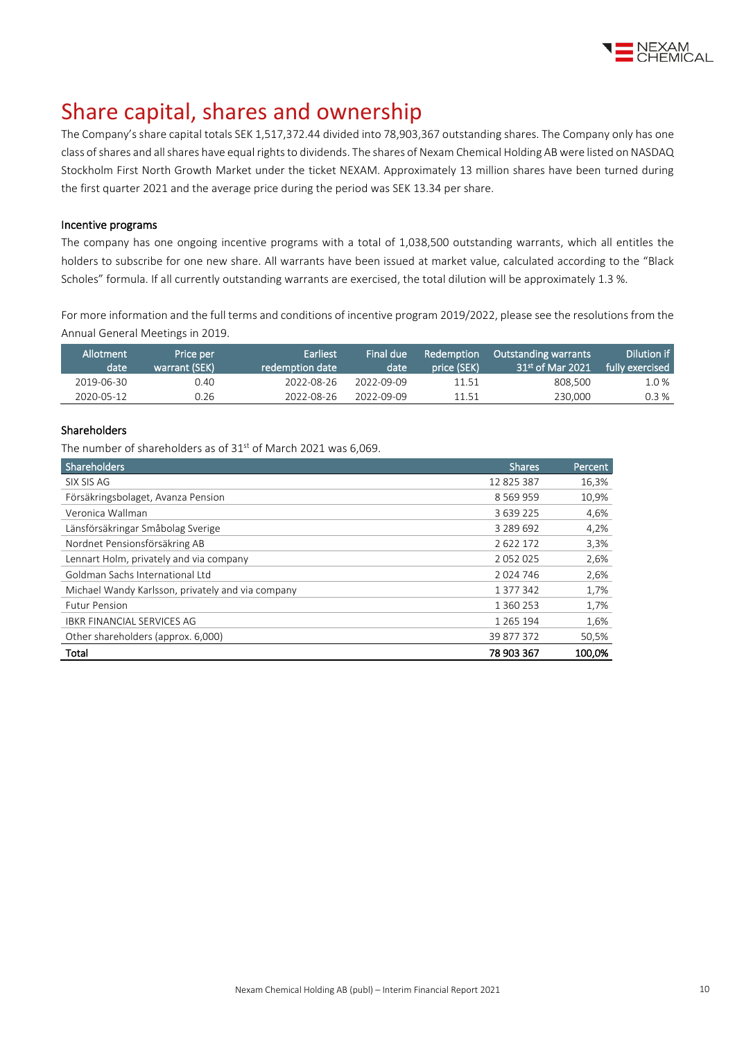

### Share capital, shares and ownership

The Company's share capital totals SEK 1,517,372.44 divided into 78,903,367 outstanding shares. The Company only has one class of shares and all shares have equal rights to dividends. The shares of Nexam Chemical Holding AB were listed on NASDAQ Stockholm First North Growth Market under the ticket NEXAM. Approximately 13 million shares have been turned during the first quarter 2021 and the average price during the period was SEK 13.34 per share.

#### Incentive programs

The company has one ongoing incentive programs with a total of 1,038,500 outstanding warrants, which all entitles the holders to subscribe for one new share. All warrants have been issued at market value, calculated according to the "Black Scholes" formula. If all currently outstanding warrants are exercised, the total dilution will be approximately 1.3 %.

For more information and the full terms and conditions of incentive program 2019/2022, please see the resolutions from the Annual General Meetings i[n 2019.](http://www.nexamchemical.com/secure/CMS/?language=en#context=epi.cms.contentdata:///245&viewsetting=active:///true)

| Allotment<br>date | Price per<br>warrant (SEK) | 'Earliest.<br>redemption date \ | Final due<br>date | Redemption<br>price (SEK) | <b>Outstanding warrants</b><br>$31st$ of Mar 2021 | Dilution if<br>fully exercised |
|-------------------|----------------------------|---------------------------------|-------------------|---------------------------|---------------------------------------------------|--------------------------------|
| 2019-06-30        | 0.40                       | 2022-08-26                      | 2022-09-09        | 11.51                     | 808.500                                           | 1.0 %                          |
| 2020-05-12        | 0.26                       | 2022-08-26                      | 2022-09-09        | 11.51                     | 230,000                                           | 0.3%                           |

#### Shareholders

The number of shareholders as of 31<sup>st</sup> of March 2021 was 6,069.

| Shareholders                                      | <b>Shares</b> | Percent |
|---------------------------------------------------|---------------|---------|
| SIX SIS AG                                        | 12 825 387    | 16,3%   |
| Försäkringsbolaget, Avanza Pension                | 8 5 6 9 9 5 9 | 10,9%   |
| Veronica Wallman                                  | 3 639 225     | 4,6%    |
| Länsförsäkringar Småbolag Sverige                 | 3 289 692     | 4,2%    |
| Nordnet Pensionsförsäkring AB                     | 2622172       | 3,3%    |
| Lennart Holm, privately and via company           | 2052025       | 2,6%    |
| Goldman Sachs International Ltd                   | 2024746       | 2,6%    |
| Michael Wandy Karlsson, privately and via company | 1 377 342     | 1,7%    |
| <b>Futur Pension</b>                              | 1 360 253     | 1,7%    |
| <b>IBKR FINANCIAL SERVICES AG</b>                 | 1 2 6 5 1 9 4 | 1,6%    |
| Other shareholders (approx. 6,000)                | 39 877 372    | 50,5%   |
| Total                                             | 78 903 367    | 100,0%  |